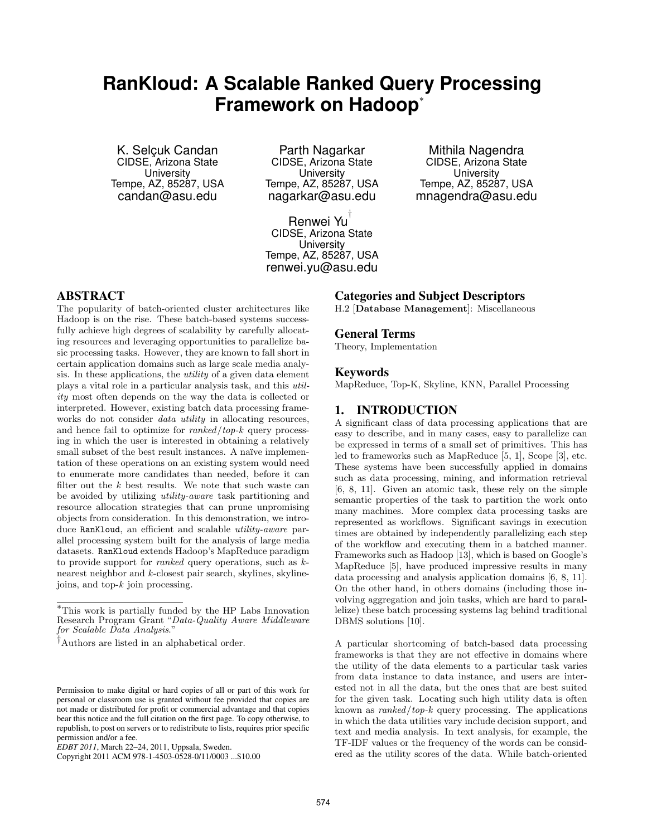# **RanKloud: A Scalable Ranked Query Processing Framework on Hadoop**<sup>∗</sup>

K. Selçuk Candan CIDSE, Arizona State **University** Tempe, AZ, 85287, USA candan@asu.edu

Parth Nagarkar CIDSE, Arizona State **University** Tempe, AZ, 85287, USA nagarkar@asu.edu

Renwei Yu † CIDSE, Arizona State **University** Tempe, AZ, 85287, USA renwei.yu@asu.edu

# ABSTRACT

The popularity of batch-oriented cluster architectures like Hadoop is on the rise. These batch-based systems successfully achieve high degrees of scalability by carefully allocating resources and leveraging opportunities to parallelize basic processing tasks. However, they are known to fall short in certain application domains such as large scale media analysis. In these applications, the utility of a given data element plays a vital role in a particular analysis task, and this utility most often depends on the way the data is collected or interpreted. However, existing batch data processing frameworks do not consider data utility in allocating resources, and hence fail to optimize for ranked/top-k query processing in which the user is interested in obtaining a relatively small subset of the best result instances. A naïve implementation of these operations on an existing system would need to enumerate more candidates than needed, before it can filter out the  $k$  best results. We note that such waste can be avoided by utilizing utility-aware task partitioning and resource allocation strategies that can prune unpromising objects from consideration. In this demonstration, we introduce RanKloud, an efficient and scalable utility-aware parallel processing system built for the analysis of large media datasets. RanKloud extends Hadoop's MapReduce paradigm to provide support for *ranked* query operations, such as  $k$ nearest neighbor and k-closest pair search, skylines, skylinejoins, and top- $k$  join processing.

## Categories and Subject Descriptors

H.2 [Database Management]: Miscellaneous

#### General Terms

Theory, Implementation

#### Keywords

MapReduce, Top-K, Skyline, KNN, Parallel Processing

Mithila Nagendra CIDSE, Arizona State **University** Tempe, AZ, 85287, USA mnagendra@asu.edu

## 1. INTRODUCTION

A significant class of data processing applications that are easy to describe, and in many cases, easy to parallelize can be expressed in terms of a small set of primitives. This has led to frameworks such as MapReduce [5, 1], Scope [3], etc. These systems have been successfully applied in domains such as data processing, mining, and information retrieval [6, 8, 11]. Given an atomic task, these rely on the simple semantic properties of the task to partition the work onto many machines. More complex data processing tasks are represented as workflows. Significant savings in execution times are obtained by independently parallelizing each step of the workflow and executing them in a batched manner. Frameworks such as Hadoop [13], which is based on Google's MapReduce [5], have produced impressive results in many data processing and analysis application domains [6, 8, 11]. On the other hand, in others domains (including those involving aggregation and join tasks, which are hard to parallelize) these batch processing systems lag behind traditional DBMS solutions [10].

A particular shortcoming of batch-based data processing frameworks is that they are not effective in domains where the utility of the data elements to a particular task varies from data instance to data instance, and users are interested not in all the data, but the ones that are best suited for the given task. Locating such high utility data is often known as  $ranked/top-k$  query processing. The applications in which the data utilities vary include decision support, and text and media analysis. In text analysis, for example, the TF-IDF values or the frequency of the words can be considered as the utility scores of the data. While batch-oriented

<sup>∗</sup>This work is partially funded by the HP Labs Innovation Research Program Grant "Data-Quality Aware Middleware for Scalable Data Analysis."

<sup>†</sup>Authors are listed in an alphabetical order.

Permission to make digital or hard copies of all or part of this work for personal or classroom use is granted without fee provided that copies are not made or distributed for profit or commercial advantage and that copies bear this notice and the full citation on the first page. To copy otherwise, to republish, to post on servers or to redistribute to lists, requires prior specific permission and/or a fee.

*EDBT 2011*, March 22–24, 2011, Uppsala, Sweden.

Copyright 2011 ACM 978-1-4503-0528-0/11/0003 ...\$10.00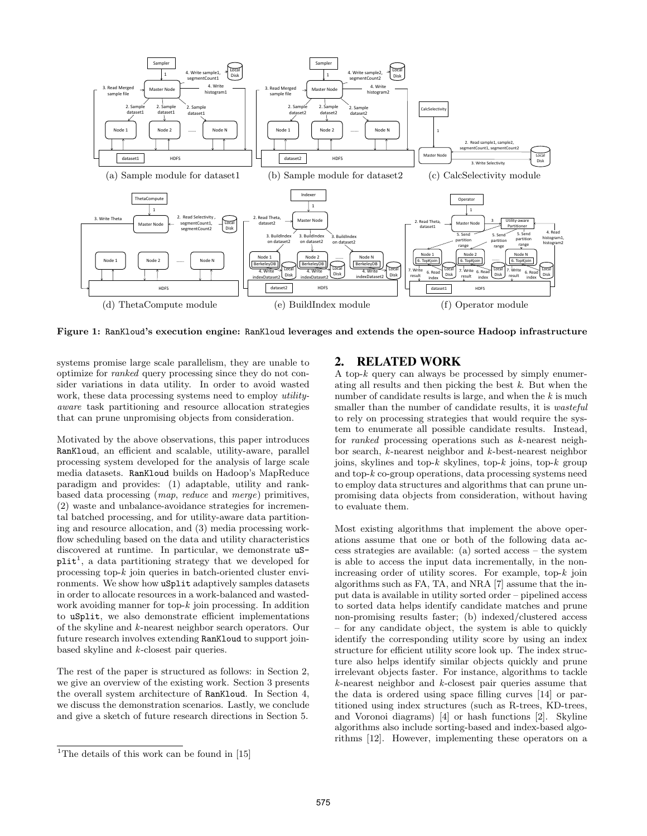

Figure 1: RanKloud's execution engine: RanKloud leverages and extends the open-source Hadoop infrastructure

systems promise large scale parallelism, they are unable to optimize for ranked query processing since they do not consider variations in data utility. In order to avoid wasted work, these data processing systems need to employ *utility*aware task partitioning and resource allocation strategies that can prune unpromising objects from consideration.

Motivated by the above observations, this paper introduces RanKloud, an efficient and scalable, utility-aware, parallel processing system developed for the analysis of large scale media datasets. RanKloud builds on Hadoop's MapReduce paradigm and provides: (1) adaptable, utility and rankbased data processing (map, reduce and merge) primitives, (2) waste and unbalance-avoidance strategies for incremental batched processing, and for utility-aware data partitioning and resource allocation, and (3) media processing workflow scheduling based on the data and utility characteristics discovered at runtime. In particular, we demonstrate uS- $\n *plit*<sup>1</sup>,$  a data partitioning strategy that we developed for processing top- $k$  join queries in batch-oriented cluster environments. We show how uSplit adaptively samples datasets in order to allocate resources in a work-balanced and wastedwork avoiding manner for top- $k$  join processing. In addition to uSplit, we also demonstrate efficient implementations of the skyline and k-nearest neighbor search operators. Our future research involves extending RanKloud to support joinbased skyline and k-closest pair queries.

The rest of the paper is structured as follows: in Section 2, we give an overview of the existing work. Section 3 presents the overall system architecture of RanKloud. In Section 4, we discuss the demonstration scenarios. Lastly, we conclude and give a sketch of future research directions in Section 5.

## 2. RELATED WORK

A top-k query can always be processed by simply enumerating all results and then picking the best k. But when the number of candidate results is large, and when the  $k$  is much smaller than the number of candidate results, it is wasteful to rely on processing strategies that would require the system to enumerate all possible candidate results. Instead, for ranked processing operations such as k-nearest neighbor search, k-nearest neighbor and k-best-nearest neighbor joins, skylines and top- $k$  skylines, top- $k$  joins, top- $k$  group and top-k co-group operations, data processing systems need to employ data structures and algorithms that can prune unpromising data objects from consideration, without having to evaluate them.

Most existing algorithms that implement the above operations assume that one or both of the following data access strategies are available: (a) sorted access – the system is able to access the input data incrementally, in the nonincreasing order of utility scores. For example, top- $k$  join algorithms such as FA, TA, and NRA [7] assume that the input data is available in utility sorted order – pipelined access to sorted data helps identify candidate matches and prune non-promising results faster; (b) indexed/clustered access – for any candidate object, the system is able to quickly identify the corresponding utility score by using an index structure for efficient utility score look up. The index structure also helps identify similar objects quickly and prune irrelevant objects faster. For instance, algorithms to tackle  $k$ -nearest neighbor and  $k$ -closest pair queries assume that the data is ordered using space filling curves [14] or partitioned using index structures (such as R-trees, KD-trees, and Voronoi diagrams) [4] or hash functions [2]. Skyline algorithms also include sorting-based and index-based algorithms [12]. However, implementing these operators on a

<sup>&</sup>lt;sup>1</sup>The details of this work can be found in  $[15]$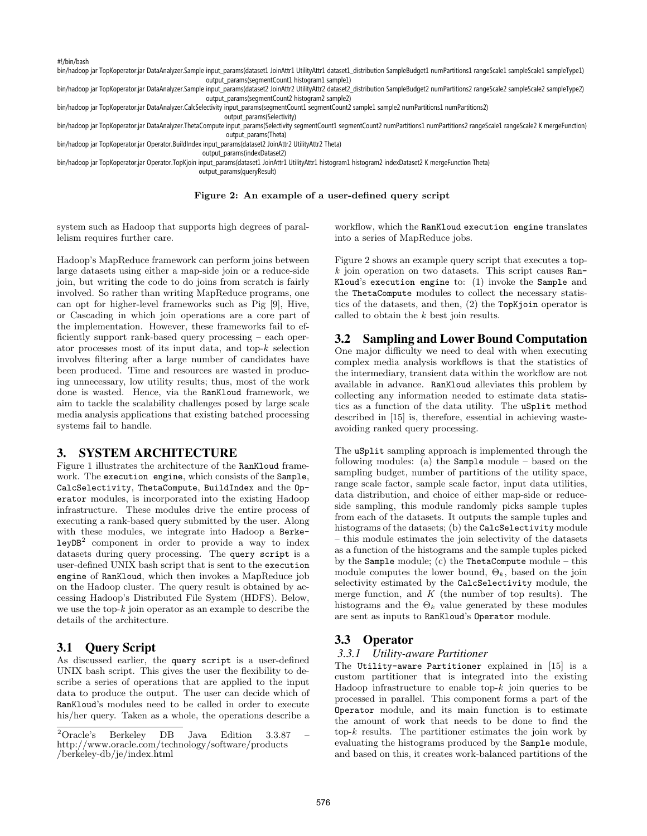#!/bin/bash

bin/hadoop jar TopKoperator.jar DataAnalyzer.Sample input\_params(dataset1 JoinAttr1 UtilityAttr1 dataset1\_distribution SampleBudget1 numPartitions1 rangeScale1 sampleScale1 sampleType1) output\_params(segmentCount1 histogram1 sample1)

bin/hadoop jar TopKoperator.jar DataAnalyzer.Sample input\_params(dataset2 JoinAttr2 UtilityAttr2 dataset2\_distribution SampleBudget2 numPartitions2 rangeScale2 sampleScale2 sampleType2) output\_params(segmentCount2 histogram2 sample2)

bin/hadoop jar TopKoperator.jar DataAnalyzer.CalcSelectivity input\_params(segmentCount1 segmentCount2 sample1 sample2 numPartitions1 numPartitions2)

output\_params(Selectivity)

bin/hadoop jar TopKoperator.jar DataAnalyzer.ThetaCompute input\_params(Selectivity segmentCount1 segmentCount2 numPartitions1 numPartitions2 rangeScale1 rangeScale2 K mergeFunction) output\_params(Theta)

bin/hadoop jar TopKoperator.jar Operator.BuildIndex input\_params(dataset2 JoinAttr2 UtilityAttr2 Theta)

output\_params(indexDataset2)

bin/hadoop jar TopKoperator.jar Operator.TopKjoin input\_params(dataset1 JoinAttr1 UtilityAttr1 histogram1 histogram2 indexDataset2 K mergeFunction Theta)

output\_params(queryResult)

#### Figure 2: An example of a user-defined query script

system such as Hadoop that supports high degrees of parallelism requires further care.

workflow, which the RanKloud execution engine translates into a series of MapReduce jobs.

Hadoop's MapReduce framework can perform joins between large datasets using either a map-side join or a reduce-side join, but writing the code to do joins from scratch is fairly involved. So rather than writing MapReduce programs, one can opt for higher-level frameworks such as Pig [9], Hive, or Cascading in which join operations are a core part of the implementation. However, these frameworks fail to efficiently support rank-based query processing – each operator processes most of its input data, and top- $k$  selection involves filtering after a large number of candidates have been produced. Time and resources are wasted in producing unnecessary, low utility results; thus, most of the work done is wasted. Hence, via the RanKloud framework, we aim to tackle the scalability challenges posed by large scale media analysis applications that existing batched processing systems fail to handle.

## 3. SYSTEM ARCHITECTURE

Figure 1 illustrates the architecture of the RanKloud framework. The execution engine, which consists of the Sample, CalcSelectivity, ThetaCompute, BuildIndex and the Operator modules, is incorporated into the existing Hadoop infrastructure. These modules drive the entire process of executing a rank-based query submitted by the user. Along with these modules, we integrate into Hadoop a BerkeleyDB<sup>2</sup> component in order to provide a way to index datasets during query processing. The query script is a user-defined UNIX bash script that is sent to the execution engine of RanKloud, which then invokes a MapReduce job on the Hadoop cluster. The query result is obtained by accessing Hadoop's Distributed File System (HDFS). Below, we use the top- $k$  join operator as an example to describe the details of the architecture.

## 3.1 Query Script

As discussed earlier, the query script is a user-defined UNIX bash script. This gives the user the flexibility to describe a series of operations that are applied to the input data to produce the output. The user can decide which of RanKloud's modules need to be called in order to execute his/her query. Taken as a whole, the operations describe a Figure 2 shows an example query script that executes a top $k$  join operation on two datasets. This script causes Ran-Kloud's execution engine to: (1) invoke the Sample and the ThetaCompute modules to collect the necessary statistics of the datasets, and then, (2) the TopKjoin operator is called to obtain the k best join results.

## 3.2 Sampling and Lower Bound Computation

One major difficulty we need to deal with when executing complex media analysis workflows is that the statistics of the intermediary, transient data within the workflow are not available in advance. RanKloud alleviates this problem by collecting any information needed to estimate data statistics as a function of the data utility. The uSplit method described in [15] is, therefore, essential in achieving wasteavoiding ranked query processing.

The uSplit sampling approach is implemented through the following modules: (a) the Sample module – based on the sampling budget, number of partitions of the utility space, range scale factor, sample scale factor, input data utilities, data distribution, and choice of either map-side or reduceside sampling, this module randomly picks sample tuples from each of the datasets. It outputs the sample tuples and histograms of the datasets; (b) the CalcSelectivity module – this module estimates the join selectivity of the datasets as a function of the histograms and the sample tuples picked by the Sample module; (c) the ThetaCompute module – this

module computes the lower bound,  $\Theta_k$ , based on the join selectivity estimated by the CalcSelectivity module, the merge function, and  $K$  (the number of top results). The histograms and the  $\Theta_k$  value generated by these modules are sent as inputs to RanKloud's Operator module.

## 3.3 Operator

#### *3.3.1 Utility-aware Partitioner*

The Utility-aware Partitioner explained in [15] is a custom partitioner that is integrated into the existing Hadoop infrastructure to enable top- $k$  join queries to be processed in parallel. This component forms a part of the Operator module, and its main function is to estimate the amount of work that needs to be done to find the top- $k$  results. The partitioner estimates the join work by evaluating the histograms produced by the Sample module, and based on this, it creates work-balanced partitions of the

<sup>&</sup>lt;sup>2</sup>Oracle's Berkeley DB Java Edition 3.3.87 – http://www.oracle.com/technology/software/products /berkeley-db/je/index.html